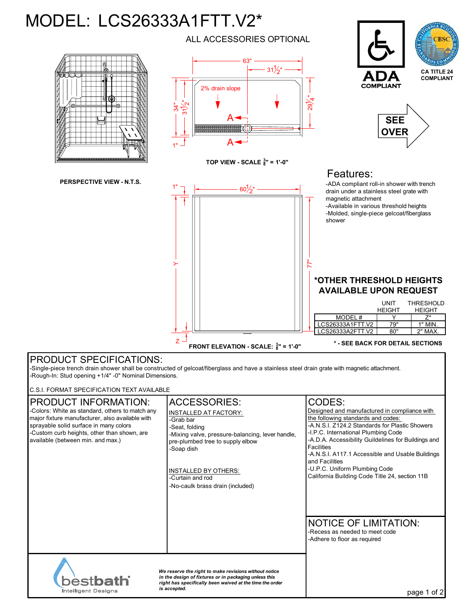## MODEL: LCS26333A1FTT.V2\*



**FRONT ELEVATION - SCALE: <sup>3</sup> <sup>8</sup>" = 1'-0"**

**\* - SEE BACK FOR DETAIL SECTIONS**

## PRODUCT SPECIFICATIONS:

-Single-piece trench drain shower shall be constructed of gelcoat/fiberglass and have a stainless steel drain grate with magnetic attachment. -Rough-In: Stud opening +1/4" -0" Nominal Dimensions.

C.S.I. FORMAT SPECIFICATION TEXT AVAILABLE

| <b>PRODUCT INFORMATION:</b><br>-Colors: White as standard, others to match any<br>major fixture manufacturer, also available with<br>sprayable solid surface in many colors<br>-Custom curb heights, other than shown, are<br>available (between min. and max.) | <b>ACCESSORIES:</b><br><b>INSTALLED AT FACTORY:</b><br>-Grab bar<br>-Seat, folding<br>-Mixing valve, pressure-balancing, lever handle,<br>pre-plumbed tree to supply elbow<br>-Soap dish<br><b>INSTALLED BY OTHERS:</b><br>-Curtain and rod<br>-No-caulk brass drain (included) | CODES:<br>Designed and manufactured in compliance with<br>the following standards and codes:<br>-A.N.S.I. Z124.2 Standards for Plastic Showers<br>-I.P.C. International Plumbing Code<br>-A.D.A. Accessibility Guildelines for Buildings and<br><b>Facilities</b><br>-A.N.S.I. A117.1 Accessible and Usable Buildings<br>and Facilities<br>-U.P.C. Uniform Plumbing Code<br>California Building Code Title 24, section 11B |
|-----------------------------------------------------------------------------------------------------------------------------------------------------------------------------------------------------------------------------------------------------------------|---------------------------------------------------------------------------------------------------------------------------------------------------------------------------------------------------------------------------------------------------------------------------------|----------------------------------------------------------------------------------------------------------------------------------------------------------------------------------------------------------------------------------------------------------------------------------------------------------------------------------------------------------------------------------------------------------------------------|
|                                                                                                                                                                                                                                                                 |                                                                                                                                                                                                                                                                                 | <b>NOTICE OF LIMITATION:</b><br>-Recess as needed to meet code<br>-Adhere to floor as required                                                                                                                                                                                                                                                                                                                             |
| We reserve the right to make revisions without notice<br>in the design of fixtures or in packaging unless this<br><b>bestbath</b><br>right has specifically been waived at the time the order<br>is accepted.<br>Intelligent Designs                            |                                                                                                                                                                                                                                                                                 | page 1                                                                                                                                                                                                                                                                                                                                                                                                                     |